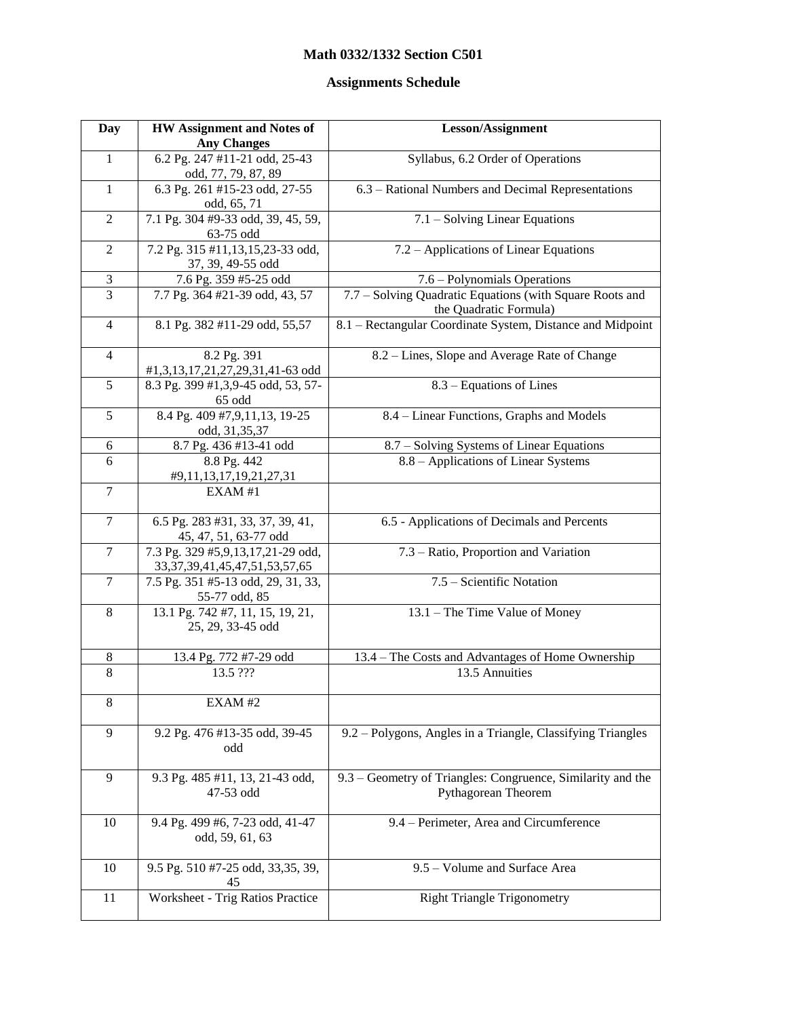## **Math 0332/1332 Section C501**

## **Assignments Schedule**

| Day                     | <b>HW Assignment and Notes of</b>                                           | Lesson/Assignment                                                                  |
|-------------------------|-----------------------------------------------------------------------------|------------------------------------------------------------------------------------|
|                         | <b>Any Changes</b>                                                          |                                                                                    |
| $\mathbf{1}$            | 6.2 Pg. 247 #11-21 odd, 25-43<br>odd, 77, 79, 87, 89                        | Syllabus, 6.2 Order of Operations                                                  |
| $\mathbf{1}$            | 6.3 Pg. 261 #15-23 odd, 27-55<br>odd, 65, 71                                | 6.3 - Rational Numbers and Decimal Representations                                 |
| $\overline{2}$          | 7.1 Pg. 304 #9-33 odd, 39, 45, 59,<br>63-75 odd                             | 7.1 - Solving Linear Equations                                                     |
| $\overline{2}$          | 7.2 Pg. 315 #11,13,15,23-33 odd,<br>37, 39, 49-55 odd                       | 7.2 – Applications of Linear Equations                                             |
| $\overline{\mathbf{3}}$ | 7.6 Pg. 359 #5-25 odd                                                       | 7.6 – Polynomials Operations                                                       |
| $\overline{3}$          | 7.7 Pg. 364 #21-39 odd, 43, 57                                              | 7.7 - Solving Quadratic Equations (with Square Roots and<br>the Quadratic Formula) |
| $\overline{4}$          | 8.1 Pg. 382 #11-29 odd, 55,57                                               | 8.1 - Rectangular Coordinate System, Distance and Midpoint                         |
| $\overline{4}$          | 8.2 Pg. 391<br>#1,3,13,17,21,27,29,31,41-63 odd                             | 8.2 – Lines, Slope and Average Rate of Change                                      |
| $\overline{5}$          | 8.3 Pg. 399 #1,3,9-45 odd, 53, 57-<br>65 odd                                | $8.3$ – Equations of Lines                                                         |
| 5                       | 8.4 Pg. 409 #7,9,11,13, 19-25<br>odd, 31,35,37                              | 8.4 – Linear Functions, Graphs and Models                                          |
| 6                       | 8.7 Pg. 436 #13-41 odd                                                      | 8.7 - Solving Systems of Linear Equations                                          |
| 6                       | 8.8 Pg. 442<br>#9,11,13,17,19,21,27,31                                      | 8.8 – Applications of Linear Systems                                               |
| $\overline{7}$          | EXAM#1                                                                      |                                                                                    |
| $\overline{7}$          | 6.5 Pg. 283 #31, 33, 37, 39, 41,<br>45, 47, 51, 63-77 odd                   | 6.5 - Applications of Decimals and Percents                                        |
| $\overline{7}$          | 7.3 Pg. 329 #5,9,13,17,21-29 odd,<br>33, 37, 39, 41, 45, 47, 51, 53, 57, 65 | 7.3 – Ratio, Proportion and Variation                                              |
| $\tau$                  | 7.5 Pg. 351 #5-13 odd, 29, 31, 33,<br>55-77 odd, 85                         | 7.5 - Scientific Notation                                                          |
| 8                       | 13.1 Pg. 742 #7, 11, 15, 19, 21,<br>25, 29, 33-45 odd                       | 13.1 – The Time Value of Money                                                     |
| $\,$ 8 $\,$             | 13.4 Pg. 772 #7-29 odd                                                      | 13.4 – The Costs and Advantages of Home Ownership                                  |
| $\overline{8}$          | 13.5 ???                                                                    | 13.5 Annuities                                                                     |
| $\,8$                   | EXAM#2                                                                      |                                                                                    |
| 9                       | 9.2 Pg. 476 #13-35 odd, 39-45<br>odd                                        | 9.2 - Polygons, Angles in a Triangle, Classifying Triangles                        |
| 9                       | 9.3 Pg. 485 #11, 13, 21-43 odd,<br>47-53 odd                                | 9.3 – Geometry of Triangles: Congruence, Similarity and the<br>Pythagorean Theorem |
| 10                      | 9.4 Pg. 499 #6, 7-23 odd, 41-47<br>odd, 59, 61, 63                          | 9.4 – Perimeter, Area and Circumference                                            |
| 10                      | 9.5 Pg. 510 #7-25 odd, 33,35, 39,<br>45                                     | 9.5 - Volume and Surface Area                                                      |
| 11                      | Worksheet - Trig Ratios Practice                                            | <b>Right Triangle Trigonometry</b>                                                 |